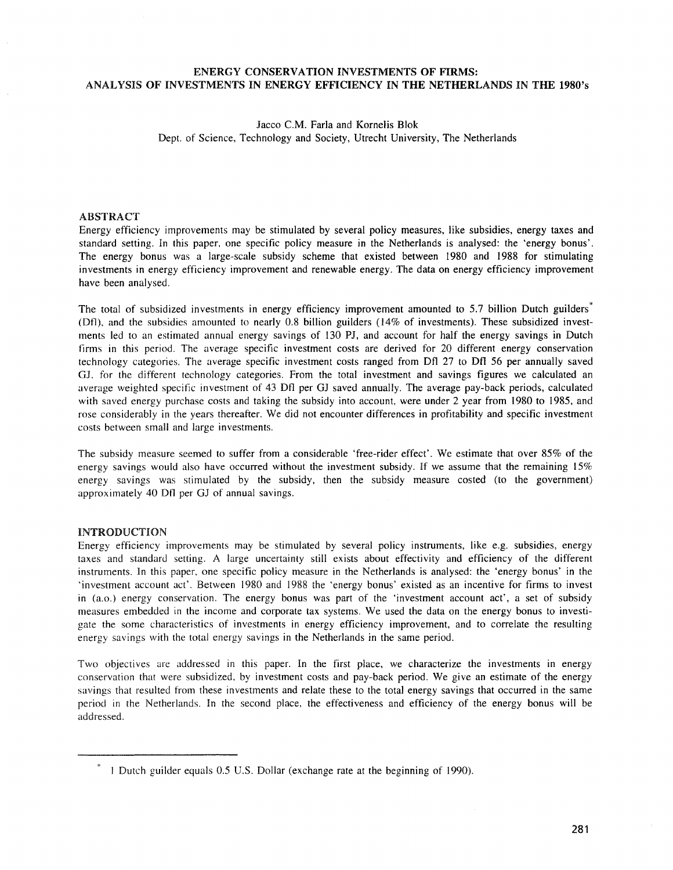# ENERGY CONSERVATION INVESTMENTS OF FIRMS: ANALYSIS OF INVESTMENTS IN ENERGY EFFICIENCY IN THE NETHERLANDS IN THE 1980's

# *lacco* C.M. Faria and Kornelis Blok Dept. of Science, Technology and Society, Utrecht University, The Netherlands

# ABSTRACT

Energy efficiency improvements may be stimulated by several policy measures, like subsidies, energy taxes and standard setting. In this paper, one specific policy measure in the Netherlands is analysed: the 'energy bonus'. The energy bonus was a large-scale subsidy scheme that existed between 1980 and 1988 for stimulating investments in energy efficiency improvement and renewable energy. The data on energy efficiency improvement have been analysed.

The total of subsidized investments in energy efficiency improvement amounted to 5.7 billion Dutch guilders<sup>\*</sup> (Ofl), and the subsidies amounted to nearly 0.8 billion guilders (14% of investments). These subsidized investrnents led to an estimated annual energy savings of 130 PJ, and account for half the energy savings in Dutch firms in this period. The average specific investment costs are derived for 20 different energy conservation technology categories. The average specific investment costs ranged from Dft 27 to Oft 56 per annually saved GJ, for the different technology categories. From the total investment and savings figures we calculated an average weighted specific investment of 43 Ofl per GJ saved annually. The average pay-back periods, calculated with saved energy purchase costs and taking the subsidy into account, were under 2 year from 1980 to 1985, and rose considerably in the years thereafter. We did not encounter differences in profitability and specific investment costs between small and large investments.

The subsidy measure seemed to suffer from a considerable 'free-rider effect'. We estimate that over 85% of the energy savings would also have occurred without the investment subsidy. If we assume that the remaining 15% energy savings was stimulated by the subsidy, then the subsidy measure costed (to the government) approximately 40 Dfl per GJ of annual savings.

# INTRODUCTION

Energy efficiency improvements may be stimulated by several policy instruments, like e.g. subsidies, energy taxes and standard setting. A large uncertainty still exists about effectivity and efficiency of the different instruments. In this paper, one specific policy measure in the Netherlands is analysed: the 'energy bonus' in the ~investment account act'. Between 1980 and 1988 the 'energy bonus' existed as an incentive for firms to invest in (a.o.) energy conservation. The energy bonus was part of the 'investment account act', a set of subsidy measures embedded in the income and corporate tax systems. We used the data on the energy bonus to investigate the some characteristics of investments in energy efficiency improvement, and to correlate the resulting energy savings with the total energy savings in the Netherlands in the same period.

Two objectives are addressed in this paper. In the first place, we characterize the investments in energy conservation that were subsidized, by investment costs and pay-back period. We give an estimate of the energy savings that resulted from these investments and relate these to the total energy savings that occurred in the same period in the Netherlands. In the second place, the effectiveness and efficiency of the energy bonus will be addressed.

 $*$  1 Dutch guilder equals 0.5 U.S. Dollar (exchange rate at the beginning of 1990).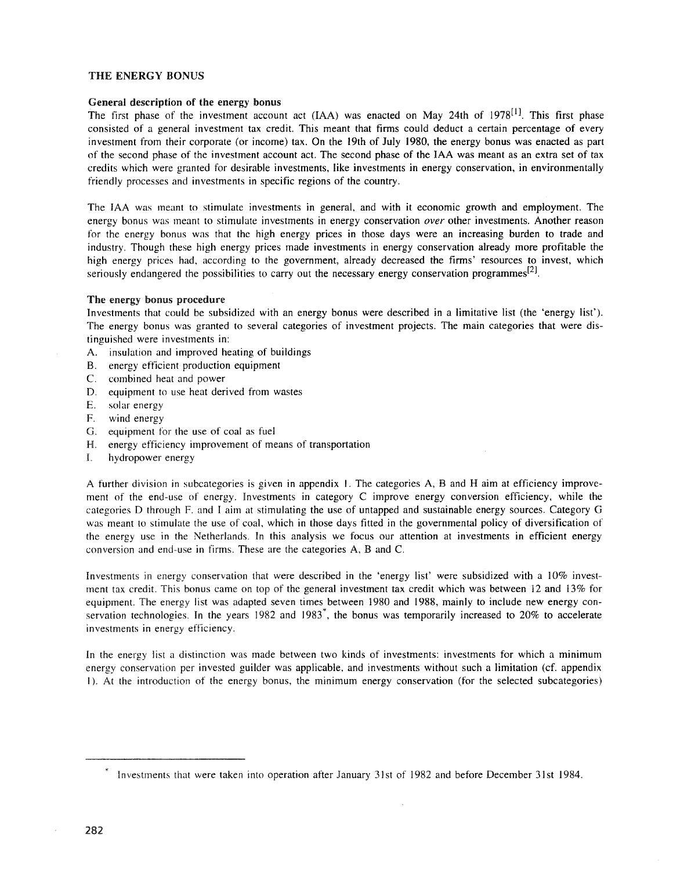# THE ENERGY BONUS

### General description of the energy bonus

The first phase of the investment account act (IAA) was enacted on May 24th of 1978<sup>[1]</sup>. This first phase consisted of a general investment tax credit. This meant that finns could deduct a certain percentage of every investment from their corporate (or income) tax. On the 19th of July 1980, the energy bonus was enacted as part of the second phase of the investment account act. The second phase of the IAA was meant as an extra set of tax credits which were granted for desirable investments, like investments in energy conservation, in environmentally friendly processes and investments in specific regions of the country.

The IAA was meant to stimulate investments in general, and with it economic growth and employment. The energy bonus was meant to stimulate investments in energy conservation *over* other investments. Another reason for the energy bonus was that the high energy prices in those days were an increasing burden to trade and industry. Though these high energy prices made investments in energy conservation already more profitable the high energy prices had, according to the government, already decreased the firms' resources to invest, which seriously endangered the possibilities to carry out the necessary energy conservation programmes<sup>[2]</sup>.

### The energy bonus procedure

Investments that could be subsidized with an energy bonus were described in a limitative list (the 'energy list'). The energy bonus was granted to several categories of investment projects. The main categories that were distinguished were investments in:

- A. insulation and improved heating of buildings
- B. energy efficient production equipment
- C. cornbined heat and power
- D. equipment to use heat derived from wastes
- E. solar energy
- F. wind energy
- G. equipment for the use of coal as fuel
- H. energy efficiency improvement of means of transportation
- L hydropower energy

A further division in subcategories is given in appendix I. The categories A, Band H aim at efficiency improvement of the end-use of energy. Investments in category C improve energy conversion efficiency, while the categories D through F, and I aim at stimulating the use of untapped and sustainable energy sources. Category G was meant to stimulate the use of coal, which in those days fitted in the governmental policy of diversification of the energy use in the Netherlands. In this analysis we focus our attention at investments in efficient energy conversion and end-use in firms. These are the categories A, Band C.

Investments in energy conservation that were described in the 'energy list' were subsidized with a 10% investment tax credit. This bonus came on top of the general investment tax credit which was between 12 and 13% for equipment. The energy list was adapted seven times between 1980 and 1988, mainly to include new energy conservation technologies. In the years 1982 and 1983<sup>\*</sup>, the bonus was temporarily increased to 20% to accelerate investments in energy efficiency.

In the energy list a distinction was made between two kinds of investments: investments for which a minimum energy conservation per invested guilder was applicable, and investments without such a limitation (cf. appendix I). At the introduction of the energy bonus, the minimum energy conservation (for the selected subcategories)

 $\bar{z}$ 

 $*$  Investments that were taken into operation after January 31st of 1982 and before December 31st 1984.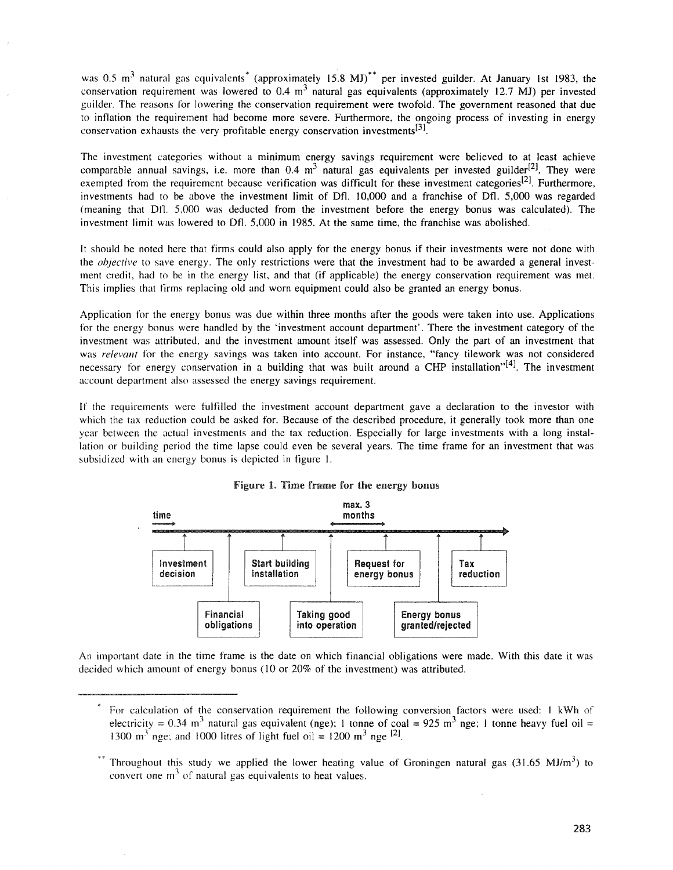was 0.5 m<sup>3</sup> natural gas equivalents<sup>\*</sup> (approximately 15.8 MJ)<sup>\*\*</sup> per invested guilder. At January 1st 1983, the conservation requirement was lowered to 0.4 m<sup>3</sup> natural gas equivalents (approximately 12.7 MJ) per invested guilder. The reasons for lowering the conservation requirement were twofold. The government reasoned that due to inflation the requirement had become more severe. Furthermore, the ongoing process of investing in energy conservation exhausts the very profitable energy conservation investments<sup>[3]</sup>.

The investment categories without a minimum energy savings requirement were believed to at least achieve comparable annual savings, i.e. more than  $0.4 \text{ m}^3$  natural gas equivalents per invested guilder<sup>[2]</sup>. They were exempted from the requirement because verification was difficult for these investment categories<sup>[2]</sup>. Furthermore, investtnents had to be above the investment limit of Dfl. 10,000 and a franchise of Dfl. 5,000 was regarded (meaning that Ofl. 5,000 was deducted from the investment before the energy bonus was calculated). The investment limit was lowered to Oft. 5,000 in 1985. At the same time, the franchise was abolished.

It should be noted here that firms could also apply for the energy bonus if their investments were not done with the *objective* to save energy. The only restrictions were that the investment had to be awarded a general investment credit, had to be in the energy list, and that (if applicable) the energy conservation requirement was met. This implies that firms replacing old and worn equipment could also be granted an energy bonus.

Application for the energy bonus was due within three months after the goods were taken into use. Applications for the energy bonus were handled by the 'investment account department'. There the investment category of the investment was attributed, and the investment amount itself was assessed. Only the part of an investment that was *relevant* for the energy savings was taken into account. For instance, "'fancy tilework was not considered necessary for energy conservation in a building that was built around a CHP installation" $[4]$ . The investment account department also assessed the energy savings requirement.

If the requirements were fulfilled the investment account department gave a declaration to the investor with which the tax reduction could be asked for. Because of the described procedure, it generally took more than one year between the actual investments and the tax reduction. Especially for large investments with a long installation or building period the time lapse could even be several years. The time frame for an investment that was subsidized with an energy bonus is depicted in figure I.



Figure 1. Time frame for the energy bonus

An important date in the time frame is the date on which financial obligations were made. With this date it was decided which amount of energy bonus (10 or 20% of the investment) was attributed.

For calculation of the conservation requirement the following conversion factors were used: 1 kWh of electricity = 0.34 m<sup>3</sup> natural gas equivalent (nge); 1 tonne of coal = 925 m<sup>3</sup> nge; 1 tonne heavy fuel oil = 1300  $\text{m}^3$  nge; and 1000 litres of light fuel oil = 1200  $\text{m}^3$  nge <sup>[2]</sup>.

<sup>&</sup>lt;sup>\*\*</sup> Throughout this study we applied the lower heating value of Groningen natural gas (31.65 MJ/m<sup>3</sup>) to convert one  $m<sup>3</sup>$  of natural gas equivalents to heat values.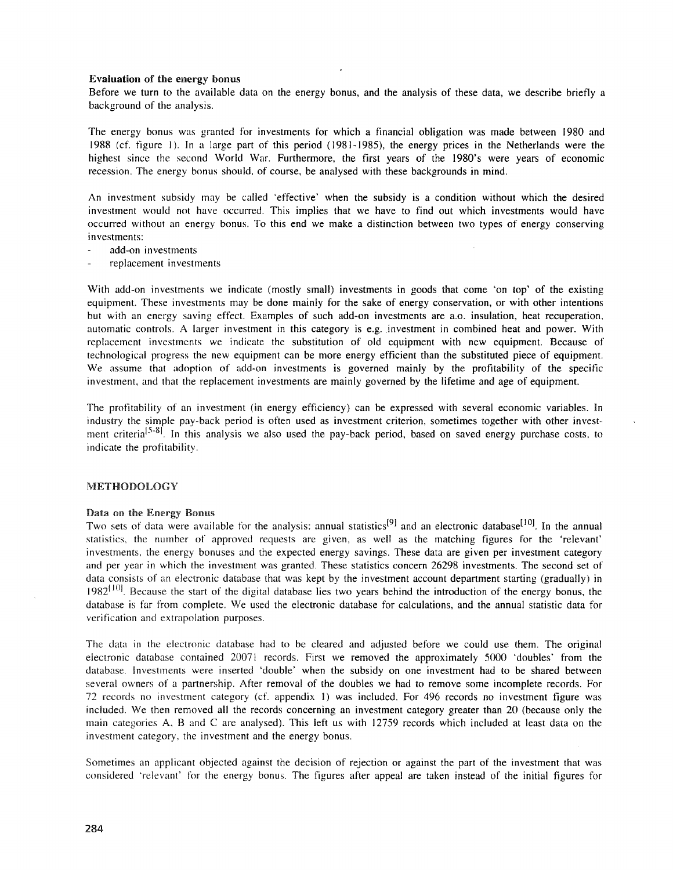### Evaluation of the energy bonus

Before we turn to the available data on the energy bonus, and the analysis of these data, we describe briefly a background of the analysis.

The energy bonus was granted for investments for which a financial obligation was made between 1980 and 1988 (cf. figure I). In a large part of this period (1981-1985), the energy prices in the Netherlands were the highest since the second World War. Furthermore, the first years of the 1980's were years of economic recession. The energy bonus should, of course, be analysed with these backgrounds in mind.

An investment subsidy may be called 'effective' when the subsidy is a condition without which the desired investment would not have occurred. This implies that we have to find out which investments would have occurred without an energy bonus. To this end we make a distinction between two types of energy conserving investments:

- add-on investrnents
- replacement investments

With add-on investments we indicate (mostly small) investments in goods that come 'on top' of the existing equipment. These investments may be done mainly for the sake of energy conservation, or with other intentions but with an energy saving effect. Examples of such add-on investments are a.o. insulation, heat recuperation, automatic controls. A larger investment in this category is e.g. .investment in combined heat and power. With replacement investments we indicate the substitution of old equipment with new equipment. Because of technological progress the new equipment can be more energy efficient than the substituted piece of equipment. We assume that adoption of add-on investments is governed mainly by the profitability of the specific investment, and that the replacement investments are mainly governed by the lifetime and age of equipment.

The profitability of an investment (in energy efficiency) can be expressed with several economic variables. In industry the simple pay-back period is often used as investment criterion, sometimes together with other investment criteria<sup>[5-8]</sup>. In this analysis we also used the pay-back period, based on saved energy purchase costs, to indicate the profitability.

### METHODOLOGY

#### Data on the Energy Bonus

Two sets of data were available for the analysis: annual statistics<sup>[9]</sup> and an electronic database<sup>[10]</sup>. In the annual statistics, the number of approved requests are given, as well as the matching figures for the 'relevant' investments, the energy bonuses and the expected energy savings. These data are given per investment category and per year in which the investment was granted. These statistics concern 26298 investments. The second set of data consists of an electronic database that was kept by the investment account department starting (gradually) in  $1982^{[10]}$ . Because the start of the digital database lies two years behind the introduction of the energy bonus, the database is far from complete. We used the electronic database for calculations, and the annual statistic data for verification and extrapolation purposes.

The data in the electronic database had to be cleared and adjusted before we could use them. The original electronic database contained 20071 records. First we removed the approximately 5000 4doubles' from the database. Investments were inserted 'double' when the subsidy on one investment had to be shared between several owners of a partnership. After removal of the doubles we had to remove some incomplete records. For 72 records no investment category (cf. appendix I) was included. For 496 records no investment figure was included. We then removed all the records concerning an investment category greater than 20 (because only the main categories A, B and C are analysed). This left us with 12759 records which included at least data on the investment category, the investment and the energy bonus.

Sometimes an applicant objected against the decision of rejection or against the part of the investment that was considered 'relevant' for the energy bonus. The figures after appeal are taken instead of the initial figures for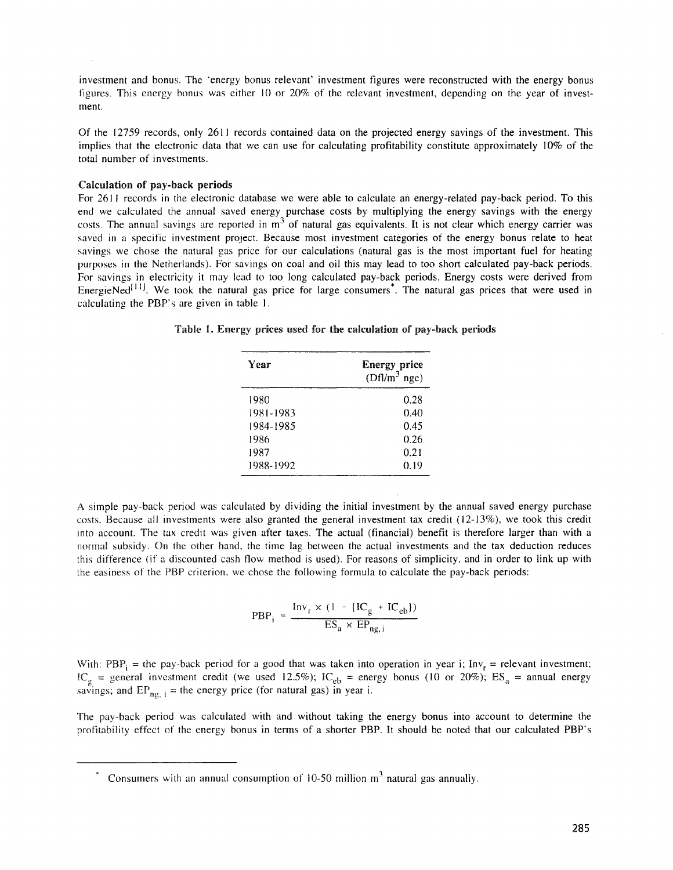investrnent and bonus. The "energy bonus relevant' investment figures were reconstructed with the energy bonus figures. This energy bonus was either 10 or 20% of the relevant investment, depending on the year of investment.

Of the 12759 records, only 2611 records contained data on the projected energy savings of the investment. This implies that the electronic data that we can use for calculating profitability constitute approximately 10% of the total number of investments.

#### Calculation of pay-back periods

For 2611 records in the electronic database we were able to calculate an energy-related pay-back period. To this end we calculated the annual saved energy purchase costs by multiplying the energy savings with the energy costs. The annual savings are reported in  $m<sup>3</sup>$  of natural gas equivalents. It is not clear which energy carrier was saved in a specific investment project. Because most investment categories of the energy bonus relate to heat savings we chose the natural gas price for our calculations (natural gas is the most important fuel for heating purposes in the Netherlands). For savings on coal and oil this may lead to too short calculated pay-back periods. For savings in electricity it may lead to too long calculated pay-back periods. Energy costs were derived from EnergieNed $[11]$ . We took the natural gas price for large consumers<sup>\*</sup>. The natural gas prices that were used in calculating the PBP's are given in table l.

Table 1. Energy prices used for the calculation of pay-back periods

| Year      | <b>Energy price</b><br>$(Dfl/m^3 nge)$ |
|-----------|----------------------------------------|
| 1980      | 0.28                                   |
| 1981-1983 | 0.40                                   |
| 1984-1985 | 0.45                                   |
| 1986      | 0.26                                   |
| 1987      | 0.21                                   |
| 1988-1992 | 0.19                                   |

A simple pay-back period was calculated by dividing the initial investment by the annual saved energy purchase costs. Because all investments were also granted the general investment tax credit (12-13%), we took this credit into account. The tax credit was given after taxes. The actual (financial) benefit is therefore larger than with a normal subsidy. On the other hand, the time lag between the actual investments and the tax deduction reduces this difference (if a discounted cash flow method is used). For reasons of simplicity, and in order to link up with the easiness of the PBP criterion, we chose the following formula to calculate the pay-back periods:

$$
PBP_i = \frac{Inv_r \times (1 - \{IC_g + IC_{eb}\})}{ES_a \times EP_{ng,i}}
$$

With: PBP<sub>i</sub> = the pay-back period for a good that was taken into operation in year i; Inv<sub>r</sub> = relevant investment; general investment credit (we used 12.5%);  $IC_{eb}$  = energy bonus (10 or 20%);  $ES_a$  = annual energy and  $EP_{ng, i}$  = the energy price (for natural gas) in year i.

The pay-back period was calculated with and without taking the energy bonus into account to determine the profitability effect of the energy bonus in terms of a shorter PBP. It should be noted that our calculated PBP's

 $*$  Consumers with an annual consumption of 10-50 million  $m<sup>3</sup>$  natural gas annually.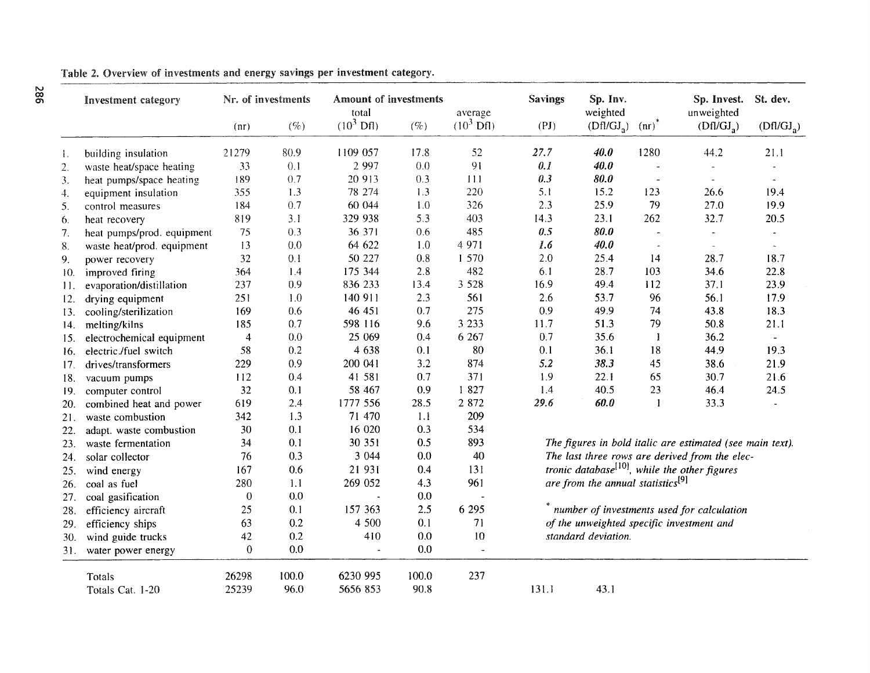|     | Investment category        | Nr. of investments |        | <b>Amount of investments</b><br>total |         | average                  | <b>Savings</b>                                            | Sp. Inv.<br>weighted   |                          | Sp. Invest.<br>unweighted | St. dev.       |
|-----|----------------------------|--------------------|--------|---------------------------------------|---------|--------------------------|-----------------------------------------------------------|------------------------|--------------------------|---------------------------|----------------|
|     |                            | (nr)               | $($ %) | $(10^3 \text{ Df1})$                  | $($ %)  | $(10^3 \text{ Df})$      | (PI)                                                      | (Dfl/GJ <sub>2</sub> ) | $(nr)^{n}$               | (Dfl/GJ <sub>2</sub> )    | $(Dfl/GJ_a)$   |
| 1.  | building insulation        | 21279              | 80.9   | 1109 057                              | 17.8    | 52                       | 27.7                                                      | 40.0                   | 1280                     | 44.2                      | 21.1           |
| 2.  | waste heat/space heating   | 33                 | 0.1    | 2 9 9 7                               | 0.0     | 91                       | 0.1                                                       | 40.0                   | $\tilde{\phantom{a}}$    |                           |                |
| 3.  | heat pumps/space heating   | 189                | 0.7    | 20 913                                | 0.3     | 111                      | 0.3                                                       | 80.0                   | $\overline{\phantom{a}}$ | $\omega$                  |                |
| 4.  | equipment insulation       | 355                | 1.3    | 78 274                                | 1.3     | 220                      | 5.1                                                       | 15.2                   | 123                      | 26.6                      | 19.4           |
| 5.  | control measures           | 184                | 0.7    | 60 044                                | 1.0     | 326                      | 2.3                                                       | 25.9                   | 79                       | 27.0                      | 19.9           |
| 6.  | heat recovery              | 819                | 3.1    | 329 938                               | 5.3     | 403                      | 14.3                                                      | 23.1                   | 262                      | 32.7                      | 20.5           |
| 7.  | heat pumps/prod. equipment | 75                 | 0.3    | 36 371                                | 0.6     | 485                      | 0.5                                                       | 80.0                   | $\sim$                   |                           |                |
| 8.  | waste heat/prod. equipment | 13                 | 0.0    | 64 622                                | 1.0     | 4 9 7 1                  | 1.6                                                       | 40.0                   | $\tilde{\phantom{a}}$    | $\bar{a}$                 |                |
| 9.  | power recovery             | 32                 | 0.1    | 50 227                                | 0.8     | 1 570                    | 2.0                                                       | 25.4                   | 14                       | 28.7                      | 18.7           |
| 10. | improved firing            | 364                | 1.4    | 175 344                               | 2.8     | 482                      | 6.1                                                       | 28.7                   | 103                      | 34.6                      | 22.8           |
| 11. | evaporation/distillation   | 237                | 0.9    | 836 233                               | 13.4    | 3 5 2 8                  | 16.9                                                      | 49.4                   | 112                      | 37.1                      | 23.9           |
| 12. | drying equipment           | 251                | 1.0    | 140 911                               | 2.3     | 561                      | 2.6                                                       | 53.7                   | 96                       | 56.1                      | 17.9           |
| 13. | cooling/sterilization      | 169                | 0.6    | 46 451                                | 0.7     | 275                      | 0.9                                                       | 49.9                   | 74                       | 43.8                      | 18.3           |
| 14. | melting/kilns              | 185                | 0.7    | 598 116                               | 9.6     | 3 2 3 3                  | 11.7                                                      | 51.3                   | 79                       | 50.8                      | 21.1           |
| 15. | electrochemical equipment  | $\overline{4}$     | 0.0    | 25 069                                | 0.4     | 6 2 6 7                  | 0.7                                                       | 35.6                   | -1                       | 36.2                      | $\omega$       |
| 16. | electric./fuel switch      | 58                 | 0.2    | 4 638                                 | 0.1     | 80                       | 0.1                                                       | 36.1                   | 18                       | 44.9                      | 19.3           |
| 17. | drives/transformers        | 229                | 0.9    | 200 041                               | 3.2     | 874                      | 5.2                                                       | 38.3                   | 45                       | 38.6                      | 21.9           |
| 18. | vacuum pumps               | 112                | 0.4    | 41 581                                | 0.7     | 371                      | 1.9                                                       | 22.1                   | 65                       | 30.7                      | 21.6           |
| 19. | computer control           | 32                 | 0.1    | 58 467                                | 0.9     | 1827                     | 1.4                                                       | 40.5                   | 23                       | 46.4                      | 24.5           |
| 20. | combined heat and power    | 619                | 2.4    | 1777 556                              | 28.5    | 2 8 7 2                  | 29.6                                                      | 60.0                   | -1                       | 33.3                      | $\overline{a}$ |
| 21. | waste combustion           | 342                | 1.3    | 71 470                                | 1.1     | 209                      |                                                           |                        |                          |                           |                |
| 22. | adapt. waste combustion    | 30                 | 0.1    | 16 020                                | 0.3     | 534                      |                                                           |                        |                          |                           |                |
| 23. | waste fermentation         | 34                 | 0.1    | 30 351                                | 0.5     | 893                      | The figures in bold italic are estimated (see main text). |                        |                          |                           |                |
| 24. | solar collector            | 76                 | 0.3    | 3 0 4 4                               | 0.0     | 40                       | The last three rows are derived from the elec-            |                        |                          |                           |                |
| 25. | wind energy                | 167                | 0.6    | 21 931                                | 0.4     | 131                      | tronic database <sup>[10]</sup> , while the other figures |                        |                          |                           |                |
| 26. | coal as fuel               | 280                | 1.1    | 269 052                               | 4.3     | 961                      | are from the annual statistics <sup>[9]</sup>             |                        |                          |                           |                |
| 27. | coal gasification          | $\bf{0}$           | 0.0    | $\ddot{\phantom{0}}$                  | 0.0     |                          |                                                           |                        |                          |                           |                |
| 28. | efficiency aircraft        | 25                 | 0.1    | 157 363                               | 2.5     | 6 2 9 5                  | number of investments used for calculation                |                        |                          |                           |                |
| 29. | efficiency ships           | 63                 | 0.2    | 4 500                                 | 0.1     | 71                       | of the unweighted specific investment and                 |                        |                          |                           |                |
| 30. | wind guide trucks          | 42                 | 0.2    | 410                                   | 0.0     | 10                       | standard deviation.                                       |                        |                          |                           |                |
| 31. | water power energy         | $\boldsymbol{0}$   | 0.0    | $\blacksquare$                        | $0.0\,$ | $\overline{\phantom{a}}$ |                                                           |                        |                          |                           |                |
|     | Totals                     | 26298              | 100.0  | 6230 995                              | 100.0   | 237                      |                                                           |                        |                          |                           |                |
|     | Totals Cat. 1-20           | 25239              | 96.0   | 5656 853                              | 90.8    |                          | 131.1                                                     | 43.1                   |                          |                           |                |

 $\approx$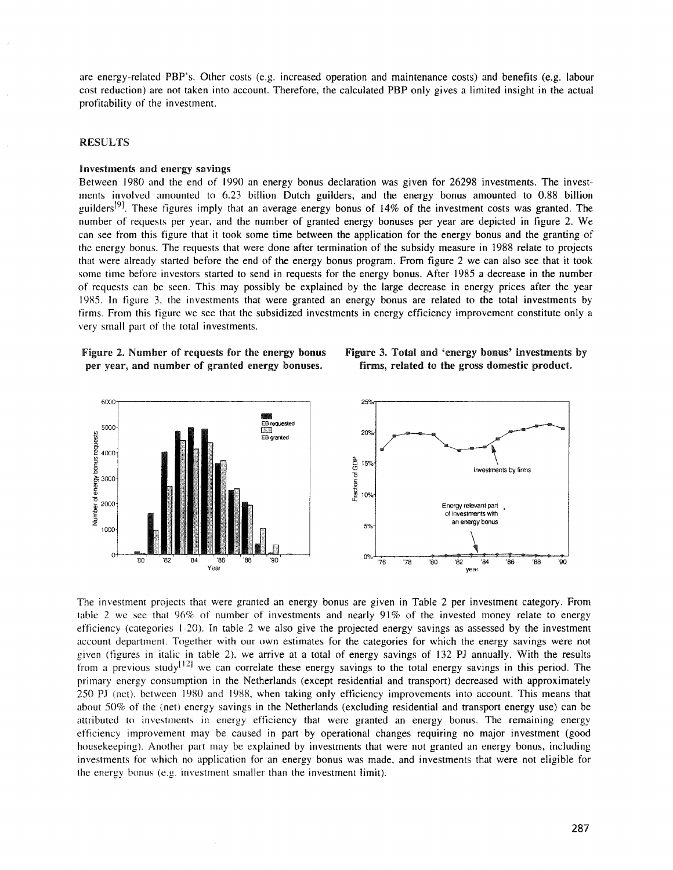are energy-related PBP's. Other costs (e.g. increased operation and maintenance costs) and benefits (e.g. labour cost reduction) are not taken into account. Therefore, the calculated PBP only gives a limited insight in the actual profitability of the investment.

#### RESULTS

### Investments and energy savings

Between 1980 and the end of 1990 an energy bonus declaration was given for 26298 investments. The invest $ments$  involved amounted to 6.23 billion Dutch guilders, and the energy bonus amounted to 0.88 billion guilders<sup>[9]</sup>. These figures imply that an average energy bonus of 14% of the investment costs was granted. The number of requests per year, and the number of granted energy bonuses per year are depicted in figure 2. We can see from this figure that it took some time between the application for the energy bonus and the granting of the energy bonus. The requests that were done after termination of the subsidy measure in 1988 relate to projects that were already started before the end of the energy bonus program. From figure 2 we can also see that it took some time before investors started to send in requests for the energy bonus. After 1985 a decrease in the number of requests can be seen. This may possibly be explained by the large decrease in energy prices after the year 1985. In figure 3, the investments that were granted an energy bonus are related to the total investments by firms. From this figure we see that the subsidized investments in energy efficiency improvement constitute only a very small part of the total investments.

Figure 2. Number of requests for the energy bonus per year, and number of granted energy bonuses.





The investment projects that were granted an energy bonus are given in Table 2 per investment category. From table 2 we see that 96% of number of investments and nearly 91% of the invested money relate to energy efficiency (categories 1-20). In table 2 we also give the projected energy savings as assessed by the investment account department. Together with our own estimates for the categories for which the energy savings were not given (figures in italic in table 2), we arrive at a total of energy savings of 132 Pl annually. With the results from a previous study<sup>[12]</sup> we can correlate these energy savings to the total energy savings in this period. The primary energy consumption in the Netherlands (except residential and transport) decreased with approximately 250 Pl (net), between 1980 and 1988, when taking only efficiency improvements into account. This means that about 50% of the (net) energy savings in the Netherlands (excluding residential and transport energy use) can be attributed to investments in energy efficiency that were granted an energy bonus. The remaining energy efficiency improvement may be caused in part by operational changes requiring no major investment (good housekeeping). Another part may be explained by investments that were not granted an energy bonus, including investments for which no application for an energy bonus was made, and investments that were not eligible for the energy bonus (e.g. investment smaller than the investment limit).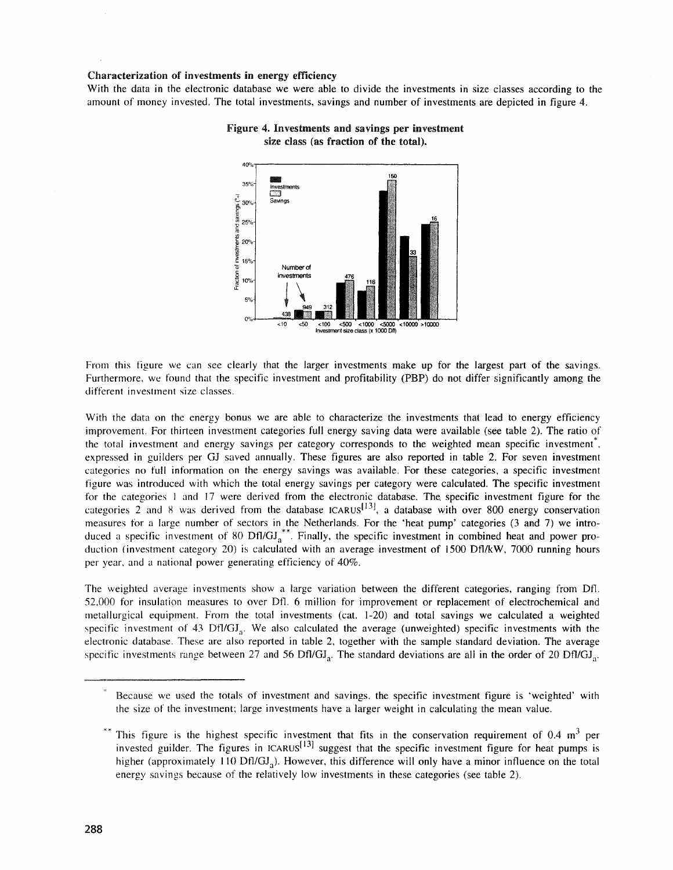### Characterization of investments in energy efficiency

With the data in the electronic database we were able to divide the investments in size classes according to the amount of money invested. The total investments, savings and number of investments are depicted in figure 4.



# Figure 4. Investments and savings per investment size class (as fraction of the total).

From this figure we can see clearly that the larger investments make up for the largest part of the savings. Furthermore, we found that the specific investment and profitability (PBP) do not differ significantly among the different investment size classes.

With the data on the energy bonus we are able to characterize the investments that lead to energy efficiency improvement. For thirteen investment categories full energy saving data were available (see table 2). The ratio of the total investment and energy savings per category corresponds to the weighted mean specific investment, expressed in guilders per GJ saved annually. These figures are also reported in table 2. For seven investment categories no full information on the energy savings was available. For these categories, a specific investment figure was introduced with which the total energy savings per category were calculated. The specific investment for the categories I and 17 were derived from the electronic database. The. specific investment figure for the categories 2 and 8 was derived from the database ICARUS<sup>[13]</sup>, a database with over 800 energy conservation measures for a large number of sectors in the Netherlands. For the 'heat pump' categories (3 and 7) we introduced a specific investment of 80  $DH/GJ<sub>a</sub><sup>**</sup>$ . Finally, the specific investment in combined heat and power production (investment category 20) is calculated with an average investment of 1500 Dfl/kW, 7000 running hours per year, and a national power generating efficiency of 40%.

The weighted average investments show a large variation between the different categories, ranging from Dfl 52,000 for insulation measures to over Dfl. 6 million for improvement or replacement of electrochemical and metallurgical equipment. From the total investments (cat. 1-20) and total savings we calculated a weighted specific investment of 43 Dfl/GJ<sub>a</sub>. We also calculated the average (unweighted) specific investments with the electronic database. These are also reported in table 2, together with the sample standard deviation. The average specific investments range between 27 and 56 Dfl/GJ<sub>a</sub>. The standard deviations are all in the order of 20 Dfl/GJ<sub>a</sub>.

Because we used the totals of investment and savings, the specific investment figure is 'weighted' with the size of the investment; large investments have a larger weight in calculating the mean value.

This figure is the highest specific investment that fits in the conservation requirement of 0.4  $\text{m}^3$  per invested guilder. The figures in ICARUS<sup>[13]</sup> suggest that the specific investment figure for heat pumps is higher (approximately 110 Dfl/ $GI<sub>a</sub>$ ). However, this difference will only have a minor influence on the total energy savings because of the relatively low investments in these categories (see table 2).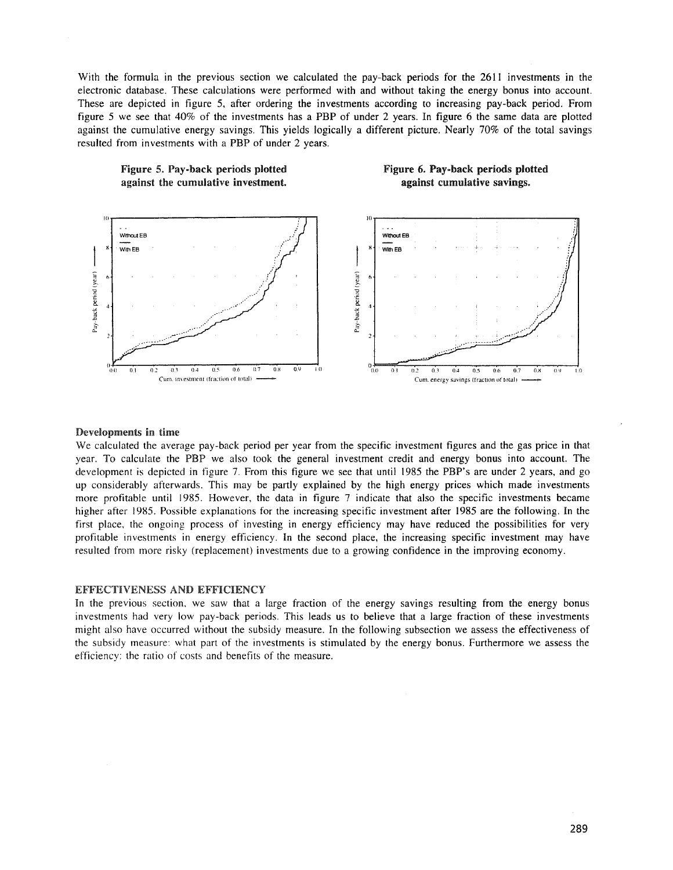With the formula in the previous section we calculated the pay-back periods for the 2611 investments in the electronic database. These calculations were performed with and without taking the energy bonus into account. These are depicted in figure 5, after ordering the investments according to increasing pay-back period. From figure 5 we see that 40% of the investments has a PBP of under 2 years. In figure 6 the same data are plotted against the cumulative energy savings. This yields logically a different picture. Nearly 70% of the total savings resulted from investments with a PBP of under 2 years.

> Figure 6. Pay-back periods plotted against cumulative savings.



# Figure 5. Pay-back periods plotted against the cumulative investment.

#### Developments in time

We calculated the average pay-back period per year from the specific investment figures and the gas price in that year. To calculate the PBP we also took the general investment credit and energy bonus into account. The development is depicted in figure 7. From this figure we see that until 1985 the PBP's are under 2 years, and go up considerably afterwards. This may be partly explained by the high energy prices which made investments more profitable until 1985. However, the data in figure 7 indicate that also the specific investments became higher after 1985. Possible explanations for the increasing specific investment after 1985 are the following. In the first place, the ongoing process of investing in energy efficiency may have reduced the possibilities for very profitable investments in energy efficiency. In the second place, the increasing specific investment may have resulted from more risky (replacement) investments due to a growing confidence in the improving economy.

### **EFFECTIVENESS AND EFFICIENCY**

In the previous section, we saw that a large fraction of the energy savings resulting from the energy bonus investments had very low pay-back periods. This leads us to believe that a large fraction of these investments might also have occurred without the subsidy measure. In the following subsection we assess the effectiveness of the subsidy measure: what part of the investments is stimulated by the energy bonus. Furthermore we assess the efficiency: the ratio of costs and benefits of the measure.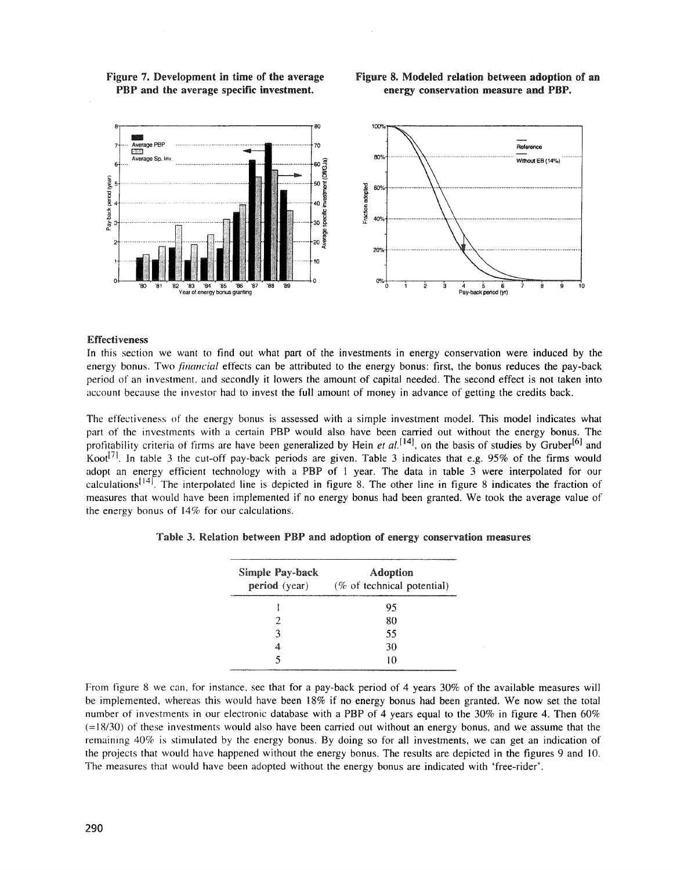### Figure 7. Development in time of the average PBP and the average specific investment.

# Figure 8. Modeled relation between adoption of an energy conservation measure and PBP.



### **Effectiveness**

In this section we want to find out what part of the investments in energy conservation were induced by the energy bonus. Two *financial* effects can be attributed to the energy bonus: first, the bonus reduces the pay-back period of an investment, and secondly it lowers the amount of capital needed. The second effect is not taken into account because the investor had to invest the full amount of money in advance of getting the credits back.

The effectiveness of the energy bonus is assessed with a simple investment model. This model indicates what part of the investments with a certain PBP would also have been carried out without the energy bonus. The profitability criteria of firms are have been generalized by Hein et al.<sup>[14]</sup>, on the basis of studies by Gruber<sup>[6]</sup> and Koot<sup>[7]</sup>. In table 3 the cut-off pay-back periods are given. Table 3 indicates that e.g. 95% of the firms would adopt an energy efficient technology with a PBP of 1 year. The data in table  $3$  were interpolated for our calculations<sup>[14]</sup>. The interpolated line is depicted in figure 8. The other line in figure 8 indicates the fraction of measures that would have been implemented if no energy bonus had been granted. We took the average value of the energy bonus of  $14\%$  for our calculations.

| Simple Pay-back<br>period (year) | Adoption<br>(% of technical potential) |  |  |  |  |  |
|----------------------------------|----------------------------------------|--|--|--|--|--|
|                                  | 95                                     |  |  |  |  |  |
| 2                                | 80                                     |  |  |  |  |  |
| ٦                                | 55                                     |  |  |  |  |  |
|                                  | 30                                     |  |  |  |  |  |
|                                  | 10                                     |  |  |  |  |  |

|  |  |  |  | Table 3. Relation between PBP and adoption of energy conservation measures |  |
|--|--|--|--|----------------------------------------------------------------------------|--|
|  |  |  |  |                                                                            |  |

From figure 8 we can, for instance, see that for a pay-back period of 4 years 30% of the available measures will be implemented, whereas this would have been 18% if no energy bonus had been granted. We now set the total number of investments in our electronic database with a PBP of 4 years equal to the 30% in figure 4. Then 60%  $(=18/30)$  of these investments would also have been carried out without an energy bonus, and we assume that the remaining 40% is stimulated by the energy bonus. By doing so for all investments, we can get an indication of the projects that would have happened without the energy bonus. The results are depicted in the figures 9 and 10. The measures that would have been adopted without the energy bonus are indicated with 'free-rider'.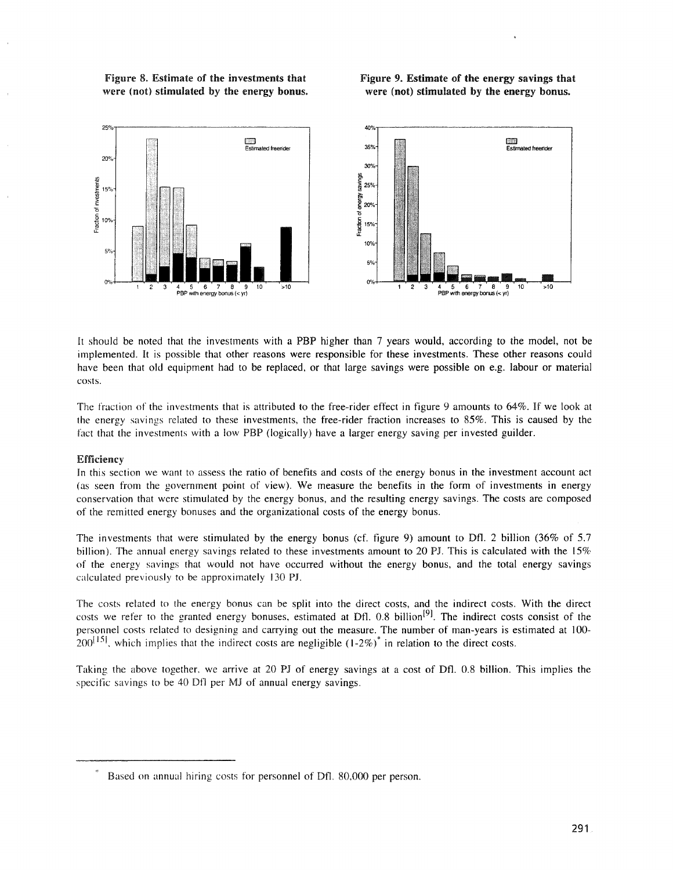Figure 8. Estimate of the investments that were (not) stimulated by the energy bonus.

# Figure 9. Estimate of the energy savings that were (not) stimulated by the energy bonus.



It should be noted that the investments with a PBP higher than 7 years would, according to the model, not be irnplemented. It is possible that other reasons were responsible for these investments. These other reasons could have been that old equipment had to be replaced, or that large savings were possible on e.g. labour or material costs.

The fraction of the investments that is attributed to the free-rider effect in figure 9 amounts to 64%. If we look at the energy savings related to these investments, the free-rider fraction increases to 85%. This is caused by the fact that the investments with a low PBP (logically) have a larger energy saving per invested guilder.

### Efficiency

In this section we want to assess the ratio of benefits and costs of the energy bonus in the investment account act (as seen from the government point of view). We measure the benefits in the form of investments in energy conservation that were stimulated by the energy bonus, and the resulting energy savings. The costs are composed of the remitted energy bonuses and the organizational costs of the energy bonus.

The investments that were stimulated by the energy bonus (cf. fjgure 9) amount to Ofl. 2 billion (36% of 5.7 billion). The annual energy savings related to these investments amount to 20 PJ. This is calculated with the  $15\%$ of the energy savings that would not have occurred without the energy bonus, and the total energy savings calculated previously to be approximately 130 Pl.

The costs related to the energy bonus can be split into the direct costs, and the indirect costs. With the direct costs we refer to the granted energy bonuses, estimated at Dfl. 0.8 billion<sup>[9]</sup>. The indirect costs consist of the personnel costs related to designing and carrying out the measure. The number of man-years is estimated at 100-  $200^{15}$ , which implies that the indirect costs are negligible  $(1-2\%)^*$  in relation to the direct costs.

Taking the above together, we arrive at 20 Pl of energy savings at a cost of Dfi. 0.8 billion. This implies the specific savings to be 40 Dfl per MJ of annual energy savings.

Based on annual hiring costs for personnel of Dfl. 80,000 per person.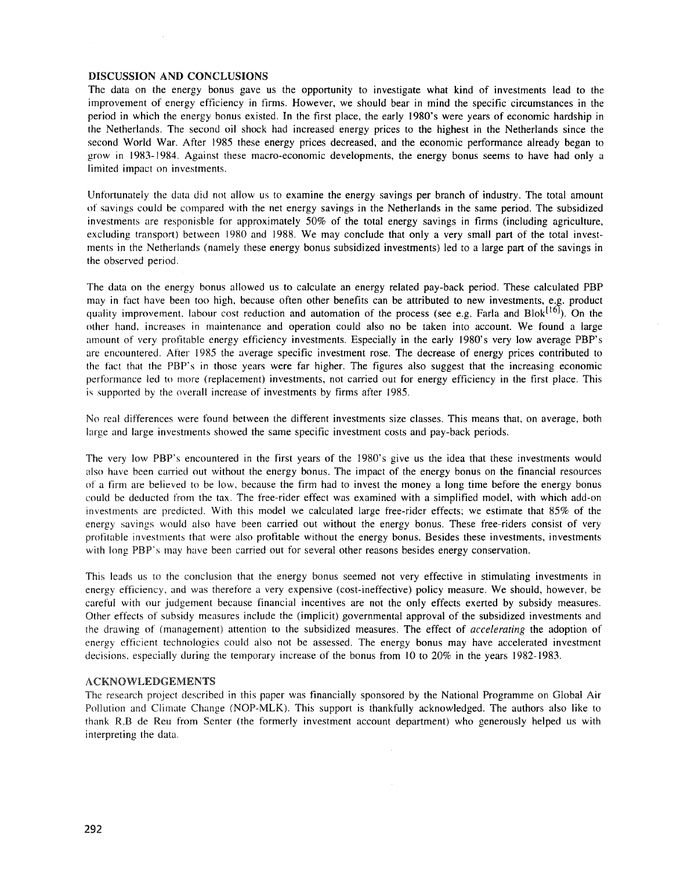### DISCUSSION AND CONCLUSIONS

The data on the energy bonus gave us the opportunity to investigate what kind of investments lead to the improvement of energy efficiency in firms. However, we should bear in mind the specific circumstances in the period in which the energy bonus existed. In the first place, the early 1980's were years of economic hardship in the Netherlands. The second oil shock had increased energy prices to the highest in the Netherlands since the second World War. After 1985 these energy prices decreased, and the economic performance already began to grow in 1983- J984. Against these macro-economic developments, the energy bonus seems to have had only a limited impact on investments.

Unfortunately the data did not allow us to examine the energy savings per branch of industry. The total amount of savings could be cornpared with the net energy savings in the Netherlands in the same period. The subsidized investments are responisble for approximately 50% of the total energy savings in firms (including agriculture, excluding transport) between 1980 and 1988. We may conclude that only a very small part of the total investrnents in the Netherlands (namely these energy bonus subsidized investments) led to a large part of the savings in the observed period.

The data on the energy bonus allowed us to calculate an energy related pay-back period. These calculated PBP may in fact have been too high, because often other benefits can be attributed to new investments, e.g. product quality improvement. labour cost reduction and automation of the process (see e.g. Farla and Blok<sup>[16]</sup>). On the other hand, increases in maintenance and operation could also no be taken into account. We found a large amount of very profitable energy efficiency investments. Especially in the early 1980's very low average PBP's are encountered. After 1985 the average specific investment rose. The decrease of energy prices contributed to the fact that the PBP's in those years were far higher. The figures also suggest that the increasing economic performance led to more (replacement) investments, not carried out for energy efficiency in the first place. This is supported by the overall increase of investments by firms after 1985.

No real differences were found between the different investments size classes. This means that, on average, both large and large investments showed the same specific investment costs and pay-back periods.

The very low PBP's encountered in the first years of the 1980's give us the idea that these investments would also have been carried out without the energy bonus. The impact of the energy bonus on the financial resources of a firm are believed to be low, because the firm had to invest the money a long time before the energy bonus could be deducted from the tax. The free-rider effect was examined with a simplified model, with which add-on investments are predicted. With this model we calculated large free-rider effects; we estimate that 85% of the energy savings would also have been carried out without the energy bonus. These free-riders consist of very profitable investments that were also profitable without the energy bonus. Besides these investments, investments with long PBP's may have been carried out for several other reasons besides energy conservation.

This leads us to the conclusion that the energy bonus seemed not very effective in stimulating investments in energy efficiency, and was therefore a very expensive (cost-ineffective) policy measure. We should, however, be careful with our judgement because financial incentives are not the only effects exerted by subsidy measures. Other effects of subsidy measures include the (implicit) governmental approval of the subsidized investments and the drawing of (management) attention to the subsidized measures. The effect of *accelerating* the adoption of energy efficient technologies could also not be assessed. The energy bonus may have accelerated investment decisions, especially during the temporary increase of the bonus from 10 to  $20\%$  in the years 1982-1983.

#### ACKNOWLEDGEMENTS

The research project described in this paper was financially sponsored by the National Programme on Global Air Pollution and Climate Change (NOP-MLK). This support is thankfully acknowledged. The authors also like to thank R.B de Reu from Senter (the formerly investment account department) who generously helped us with interpreting the data.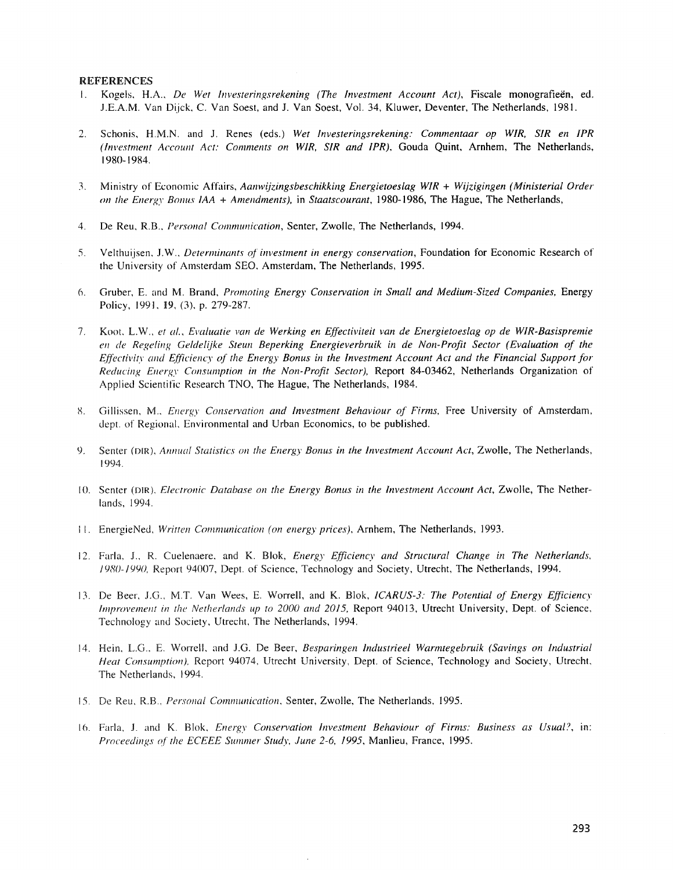#### **REFERENCES**

- Kogels, H.A., De Wet Investeringsrekening (The Investment Account Act), Fiscale monografieën, ed.  $\mathbf{L}$ J.E.A.M. Van Dijck, C. Van Soest, and J. Van Soest, Vol. 34, Kluwer, Deventer, The Netherlands, 1981.
- Schonis, H.M.N. and J. Renes (eds.) Wet Investeringsrekening: Commentaar op WIR, SIR en IPR  $2.$ (Investment Account Act: Comments on WIR, SIR and IPR), Gouda Quint, Arnhem, The Netherlands, 1980-1984.
- 3. Ministry of Economic Affairs, Aanwijzingsbeschikking Energietoeslag WIR + Wijzigingen (Ministerial Order on the Energy Bonus  $IAA +$  Amendments), in Staatscourant, 1980-1986, The Hague, The Netherlands,
- De Reu, R.B., Personal Communication, Senter, Zwolle, The Netherlands, 1994.  $4<sub>1</sub>$
- Velthuijsen, J.W., Determinants of investment in energy conservation, Foundation for Economic Research of  $5.$ the University of Amsterdam SEO, Amsterdam, The Netherlands, 1995.
- Gruber, E. and M. Brand, Promoting Energy Conservation in Small and Medium-Sized Companies, Energy  $6.$ Policy, 1991, 19, (3), p. 279-287.
- 7. Koot, L.W., et al., Evaluatie van de Werking en Effectiviteit van de Energietoeslag op de WIR-Basispremie en de Regeling Geldelijke Steun Beperking Energieverbruik in de Non-Profit Sector (Evaluation of the Effectivity and Efficiency of the Energy Bonus in the Investment Account Act and the Financial Support for Reducing Energy Consumption in the Non-Profit Sector), Report 84-03462, Netherlands Organization of Applied Scientific Research TNO, The Hague, The Netherlands, 1984.
- Gillissen, M., Energy Conservation and Investment Behaviour of Firms, Free University of Amsterdam,  $8<sub>1</sub>$ dept. of Regional, Environmental and Urban Economics, to be published.
- 9. Senter (DIR), Annual Statistics on the Energy Bonus in the Investment Account Act, Zwolle, The Netherlands, 1994.
- 10. Senter (DIR), Electronic Database on the Energy Bonus in the Investment Account Act, Zwolle, The Netherlands, 1994.
- 11. EnergieNed, Written Communication (on energy prices), Arnhem, The Netherlands, 1993.
- 12. Farla, J., R. Cuelenaere, and K. Blok, Energy Efficiency and Structural Change in The Netherlands, 1980-1990, Report 94007, Dept. of Science, Technology and Society, Utrecht, The Netherlands, 1994.
- 13. De Beer, J.G., M.T. Van Wees, E. Worrell, and K. Blok, ICARUS-3: The Potential of Energy Efficiency Improvement in the Netherlands up to 2000 and 2015, Report 94013, Utrecht University, Dept. of Science, Technology and Society, Utrecht, The Netherlands, 1994.
- 14. Hein, L.G., E. Worrell, and J.G. De Beer, Besparingen Industrieel Warmtegebruik (Savings on Industrial Heat Consumption), Report 94074, Utrecht University, Dept. of Science, Technology and Society, Utrecht, The Netherlands, 1994.
- 15. De Reu, R.B., Personal Communication, Senter, Zwolle, The Netherlands, 1995.
- 16. Farla, J. and K. Blok, *Energy Conservation Investment Behaviour of Firms: Business as Usual?*, in: Proceedings of the ECEEE Summer Study, June 2-6, 1995, Manlieu, France, 1995.